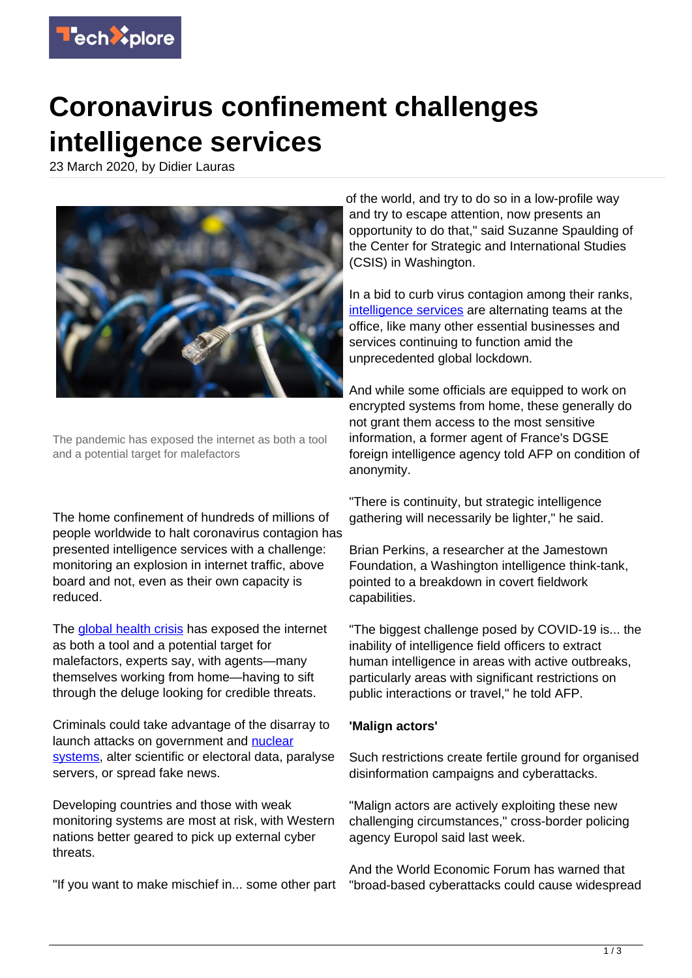

## **Coronavirus confinement challenges intelligence services**

23 March 2020, by Didier Lauras



The pandemic has exposed the internet as both a tool and a potential target for malefactors

The home confinement of hundreds of millions of people worldwide to halt coronavirus contagion has presented intelligence services with a challenge: monitoring an explosion in internet traffic, above board and not, even as their own capacity is reduced.

The [global health crisis](https://techxplore.com/tags/global+health+crisis/) has exposed the internet as both a tool and a potential target for malefactors, experts say, with agents—many themselves working from home—having to sift through the deluge looking for credible threats.

Criminals could take advantage of the disarray to launch attacks on government and [nuclear](https://techxplore.com/tags/nuclear+systems/) [systems,](https://techxplore.com/tags/nuclear+systems/) alter scientific or electoral data, paralyse servers, or spread fake news.

Developing countries and those with weak monitoring systems are most at risk, with Western nations better geared to pick up external cyber threats.

"If you want to make mischief in... some other part

of the world, and try to do so in a low-profile way and try to escape attention, now presents an opportunity to do that," said Suzanne Spaulding of the Center for Strategic and International Studies (CSIS) in Washington.

In a bid to curb virus contagion among their ranks, [intelligence services](https://techxplore.com/tags/intelligence+services/) are alternating teams at the office, like many other essential businesses and services continuing to function amid the unprecedented global lockdown.

And while some officials are equipped to work on encrypted systems from home, these generally do not grant them access to the most sensitive information, a former agent of France's DGSE foreign intelligence agency told AFP on condition of anonymity.

"There is continuity, but strategic intelligence gathering will necessarily be lighter," he said.

Brian Perkins, a researcher at the Jamestown Foundation, a Washington intelligence think-tank, pointed to a breakdown in covert fieldwork capabilities.

"The biggest challenge posed by COVID-19 is... the inability of intelligence field officers to extract human intelligence in areas with active outbreaks, particularly areas with significant restrictions on public interactions or travel," he told AFP.

## **'Malign actors'**

Such restrictions create fertile ground for organised disinformation campaigns and cyberattacks.

"Malign actors are actively exploiting these new challenging circumstances," cross-border policing agency Europol said last week.

And the World Economic Forum has warned that "broad-based cyberattacks could cause widespread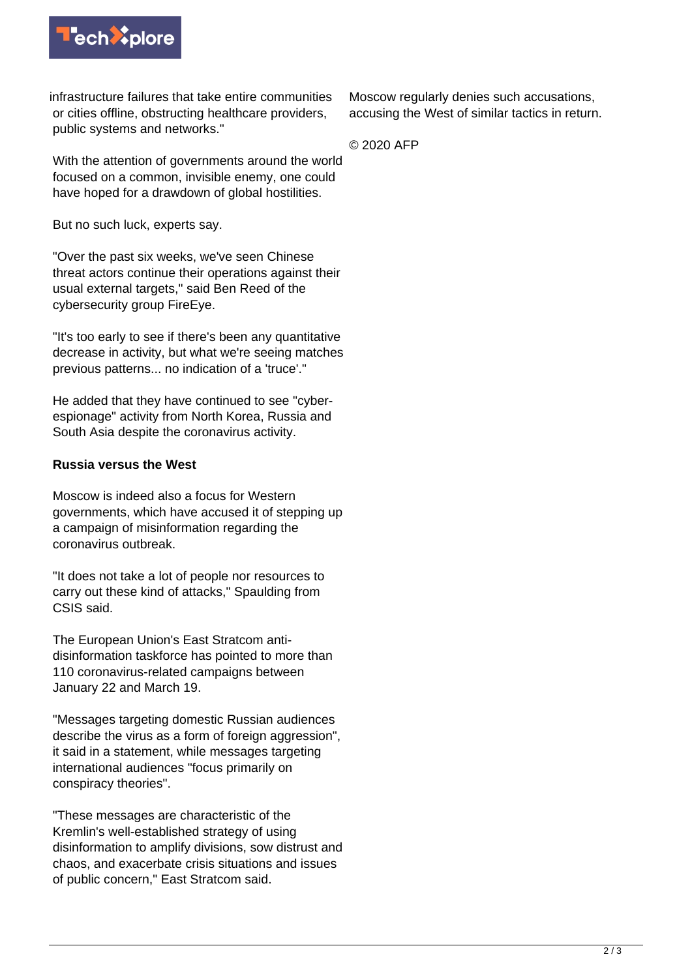

infrastructure failures that take entire communities or cities offline, obstructing healthcare providers, public systems and networks."

With the attention of governments around the world focused on a common, invisible enemy, one could have hoped for a drawdown of global hostilities.

But no such luck, experts say.

"Over the past six weeks, we've seen Chinese threat actors continue their operations against their usual external targets," said Ben Reed of the cybersecurity group FireEye.

"It's too early to see if there's been any quantitative decrease in activity, but what we're seeing matches previous patterns... no indication of a 'truce'."

He added that they have continued to see "cyberespionage" activity from North Korea, Russia and South Asia despite the coronavirus activity.

## **Russia versus the West**

Moscow is indeed also a focus for Western governments, which have accused it of stepping up a campaign of misinformation regarding the coronavirus outbreak.

"It does not take a lot of people nor resources to carry out these kind of attacks," Spaulding from CSIS said.

The European Union's East Stratcom antidisinformation taskforce has pointed to more than 110 coronavirus-related campaigns between January 22 and March 19.

"Messages targeting domestic Russian audiences describe the virus as a form of foreign aggression", it said in a statement, while messages targeting international audiences "focus primarily on conspiracy theories".

"These messages are characteristic of the Kremlin's well-established strategy of using disinformation to amplify divisions, sow distrust and chaos, and exacerbate crisis situations and issues of public concern," East Stratcom said.

Moscow regularly denies such accusations, accusing the West of similar tactics in return.

© 2020 AFP